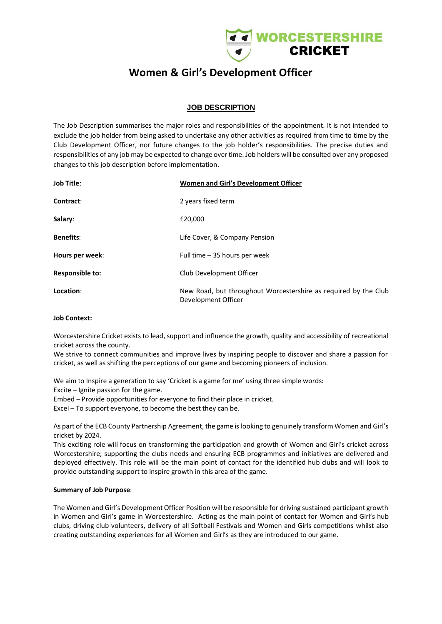

# **Women & Girl's Development Officer**

# **JOB DESCRIPTION**

The Job Description summarises the major roles and responsibilities of the appointment. It is not intended to exclude the job holder from being asked to undertake any other activities as required from time to time by the Club Development Officer, nor future changes to the job holder's responsibilities. The precise duties and responsibilities of any job may be expected to change over time. Job holders will be consulted over any proposed changes to this job description before implementation.

| <b>Job Title:</b>      | Women and Girl's Development Officer                                                   |
|------------------------|----------------------------------------------------------------------------------------|
| Contract:              | 2 years fixed term                                                                     |
| Salary:                | £20,000                                                                                |
| <b>Benefits:</b>       | Life Cover, & Company Pension                                                          |
| Hours per week:        | Full time - 35 hours per week                                                          |
| <b>Responsible to:</b> | Club Development Officer                                                               |
| Location:              | New Road, but throughout Worcestershire as required by the Club<br>Development Officer |

#### **Job Context:**

Worcestershire Cricket exists to lead, support and influence the growth, quality and accessibility of recreational cricket across the county.

We strive to connect communities and improve lives by inspiring people to discover and share a passion for cricket, as well as shifting the perceptions of our game and becoming pioneers of inclusion.

We aim to Inspire a generation to say 'Cricket is a game for me' using three simple words:

Excite – Ignite passion for the game.

Embed – Provide opportunities for everyone to find their place in cricket.

Excel – To support everyone, to become the best they can be.

As part of the ECB County Partnership Agreement, the game is looking to genuinely transform Women and Girl's cricket by 2024.

This exciting role will focus on transforming the participation and growth of Women and Girl's cricket across Worcestershire; supporting the clubs needs and ensuring ECB programmes and initiatives are delivered and deployed effectively. This role will be the main point of contact for the identified hub clubs and will look to provide outstanding support to inspire growth in this area of the game.

#### **Summary of Job Purpose**:

The Women and Girl's Development Officer Position will be responsible for driving sustained participant growth in Women and Girl's game in Worcestershire. Acting as the main point of contact for Women and Girl's hub clubs, driving club volunteers, delivery of all Softball Festivals and Women and Girls competitions whilst also creating outstanding experiences for all Women and Girl's as they are introduced to our game.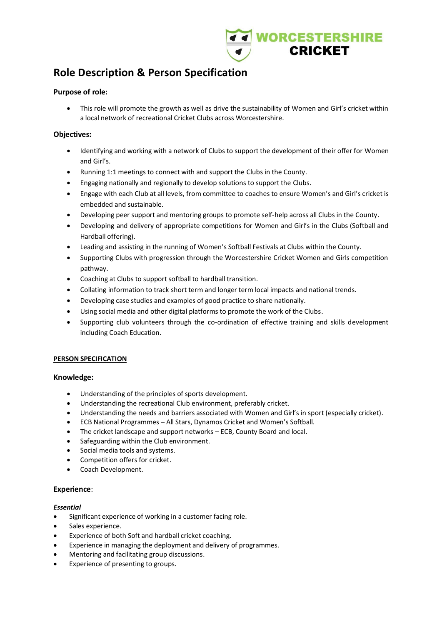

# **Role Description & Person Specification**

### **Purpose of role:**

• This role will promote the growth as well as drive the sustainability of Women and Girl's cricket within a local network of recreational Cricket Clubs across Worcestershire.

## **Objectives:**

- Identifying and working with a network of Clubs to support the development of their offer for Women and Girl's.
- Running 1:1 meetings to connect with and support the Clubs in the County.
- Engaging nationally and regionally to develop solutions to support the Clubs.
- Engage with each Club at all levels, from committee to coaches to ensure Women's and Girl's cricket is embedded and sustainable.
- Developing peer support and mentoring groups to promote self-help across all Clubs in the County.
- Developing and delivery of appropriate competitions for Women and Girl's in the Clubs (Softball and Hardball offering).
- Leading and assisting in the running of Women's Softball Festivals at Clubs within the County.
- Supporting Clubs with progression through the Worcestershire Cricket Women and Girls competition pathway.
- Coaching at Clubs to support softball to hardball transition.
- Collating information to track short term and longer term local impacts and national trends.
- Developing case studies and examples of good practice to share nationally.
- Using social media and other digital platforms to promote the work of the Clubs.
- Supporting club volunteers through the co-ordination of effective training and skills development including Coach Education.

### **PERSON SPECIFICATION**

### **Knowledge:**

- Understanding of the principles of sports development.
- Understanding the recreational Club environment, preferably cricket.
- Understanding the needs and barriers associated with Women and Girl's in sport (especially cricket).
- ECB National Programmes All Stars, Dynamos Cricket and Women's Softball.
- The cricket landscape and support networks ECB, County Board and local.
- Safeguarding within the Club environment.
- Social media tools and systems.
- Competition offers for cricket.
- Coach Development.

### **Experience**:

### *Essential*

- Significant experience of working in a customer facing role.
- Sales experience.
- Experience of both Soft and hardball cricket coaching.
- Experience in managing the deployment and delivery of programmes.
- Mentoring and facilitating group discussions.
- Experience of presenting to groups.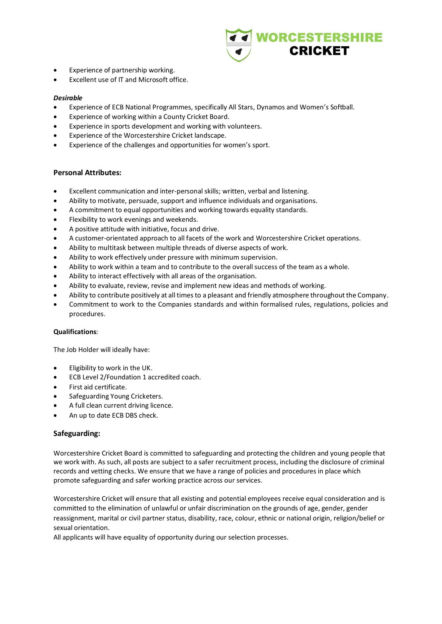

- Experience of partnership working.
- Excellent use of IT and Microsoft office.

#### *Desirable*

- Experience of ECB National Programmes, specifically All Stars, Dynamos and Women's Softball.
- Experience of working within a County Cricket Board.
- Experience in sports development and working with volunteers.
- Experience of the Worcestershire Cricket landscape.
- Experience of the challenges and opportunities for women's sport.

### **Personal Attributes:**

- Excellent communication and inter-personal skills; written, verbal and listening.
- Ability to motivate, persuade, support and influence individuals and organisations.
- A commitment to equal opportunities and working towards equality standards.
- Flexibility to work evenings and weekends.
- A positive attitude with initiative, focus and drive.
- A customer-orientated approach to all facets of the work and Worcestershire Cricket operations.
- Ability to multitask between multiple threads of diverse aspects of work.
- Ability to work effectively under pressure with minimum supervision.
- Ability to work within a team and to contribute to the overall success of the team as a whole.
- Ability to interact effectively with all areas of the organisation.
- Ability to evaluate, review, revise and implement new ideas and methods of working.
- Ability to contribute positively at all times to a pleasant and friendly atmosphere throughout the Company.
- Commitment to work to the Companies standards and within formalised rules, regulations, policies and procedures.

#### **Qualifications**:

The Job Holder will ideally have:

- Eligibility to work in the UK.
- ECB Level 2/Foundation 1 accredited coach.
- First aid certificate.
- Safeguarding Young Cricketers.
- A full clean current driving licence.
- An up to date ECB DBS check.

### **Safeguarding:**

Worcestershire Cricket Board is committed to safeguarding and protecting the children and young people that we work with. As such, all posts are subject to a safer recruitment process, including the disclosure of criminal records and vetting checks. We ensure that we have a range of policies and procedures in place which promote safeguarding and safer working practice across our services.

Worcestershire Cricket will ensure that all existing and potential employees receive equal consideration and is committed to the elimination of unlawful or unfair discrimination on the grounds of age, gender, gender reassignment, marital or civil partner status, disability, race, colour, ethnic or national origin, religion/belief or sexual orientation.

All applicants will have equality of opportunity during our selection processes.